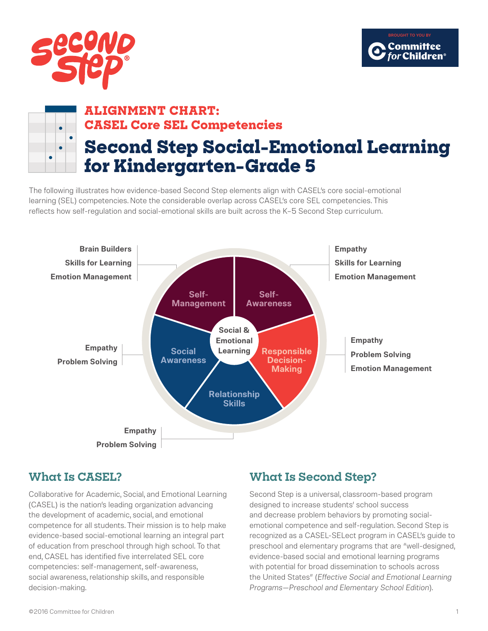



## **ALIGNMENT CHART: CASEL Core SEL Competencies Second Step Social-Emotional Learning for Kindergarten–Grade 5**

The following illustrates how evidence-based Second Step elements align with CASEL's core social-emotional learning (SEL) competencies. Note the considerable overlap across CASEL's core SEL competencies. This reflects how self-regulation and social-emotional skills are built across the K–5 Second Step curriculum.



## **What Is CASEL?**

Collaborative for Academic, Social, and Emotional Learning (CASEL) is the nation's leading organization advancing the development of academic, social, and emotional competence for all students. Their mission is to help make evidence-based social-emotional learning an integral part of education from preschool through high school. To that end, CASEL has identified five interrelated SEL core competencies: self-management, self-awareness, social awareness, relationship skills, and responsible decision-making.

## **What Is Second Step?**

Second Step is a universal, classroom-based program designed to increase students' school success and decrease problem behaviors by promoting socialemotional competence and self-regulation. Second Step is recognized as a CASEL-SELect program in CASEL's guide to preschool and elementary programs that are "well-designed, evidence-based social and emotional learning programs with potential for broad dissemination to schools across the United States" (*Effective Social and Emotional Learning Programs—Preschool and Elementary School Edition*).